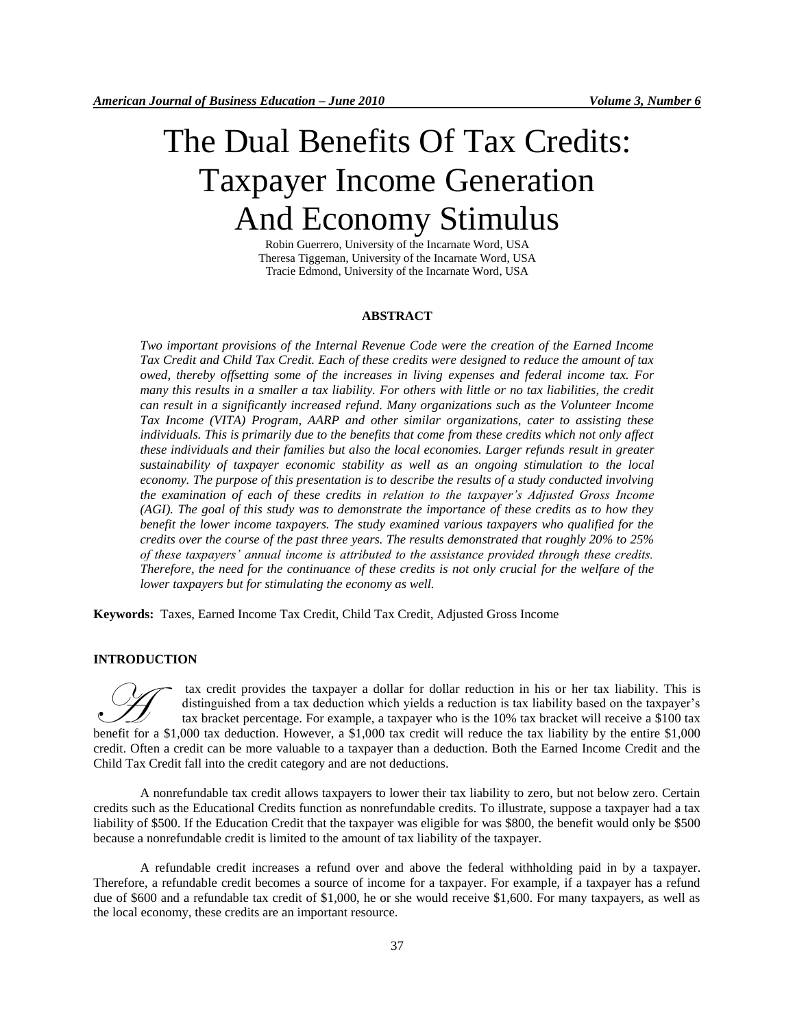# The Dual Benefits Of Tax Credits: Taxpayer Income Generation And Economy Stimulus

Robin Guerrero, University of the Incarnate Word, USA Theresa Tiggeman, University of the Incarnate Word, USA Tracie Edmond, University of the Incarnate Word, USA

#### **ABSTRACT**

*Two important provisions of the Internal Revenue Code were the creation of the Earned Income Tax Credit and Child Tax Credit. Each of these credits were designed to reduce the amount of tax owed, thereby offsetting some of the increases in living expenses and federal income tax. For many this results in a smaller a tax liability. For others with little or no tax liabilities, the credit can result in a significantly increased refund. Many organizations such as the Volunteer Income Tax Income (VITA) Program, AARP and other similar organizations, cater to assisting these individuals. This is primarily due to the benefits that come from these credits which not only affect these individuals and their families but also the local economies. Larger refunds result in greater sustainability of taxpayer economic stability as well as an ongoing stimulation to the local economy. The purpose of this presentation is to describe the results of a study conducted involving the examination of each of these credits in relation to the taxpayer's Adjusted Gross Income (AGI). The goal of this study was to demonstrate the importance of these credits as to how they benefit the lower income taxpayers. The study examined various taxpayers who qualified for the credits over the course of the past three years. The results demonstrated that roughly 20% to 25% of these taxpayers' annual income is attributed to the assistance provided through these credits. Therefore, the need for the continuance of these credits is not only crucial for the welfare of the lower taxpayers but for stimulating the economy as well.*

**Keywords:** Taxes, Earned Income Tax Credit, Child Tax Credit, Adjusted Gross Income

# **INTRODUCTION**

tax credit provides the taxpayer a dollar for dollar reduction in his or her tax liability. This is distinguished from a tax deduction which yields a reduction is tax liability based on the taxpayer's tax bracket percentage. For example, a taxpayer who is the 10% tax bracket will receive a \$100 tax benefit for a \$1,000 tax deduction. However, a \$1,000 tax credit will reduct the tax liability. This is that based on the taxpayer's tax bracket percentage. For example, a taxpayer who is the 10% tax bracket will receive a credit. Often a credit can be more valuable to a taxpayer than a deduction. Both the Earned Income Credit and the Child Tax Credit fall into the credit category and are not deductions.

A nonrefundable tax credit allows taxpayers to lower their tax liability to zero, but not below zero. Certain credits such as the Educational Credits function as nonrefundable credits. To illustrate, suppose a taxpayer had a tax liability of \$500. If the Education Credit that the taxpayer was eligible for was \$800, the benefit would only be \$500 because a nonrefundable credit is limited to the amount of tax liability of the taxpayer.

A refundable credit increases a refund over and above the federal withholding paid in by a taxpayer. Therefore, a refundable credit becomes a source of income for a taxpayer. For example, if a taxpayer has a refund due of \$600 and a refundable tax credit of \$1,000, he or she would receive \$1,600. For many taxpayers, as well as the local economy, these credits are an important resource.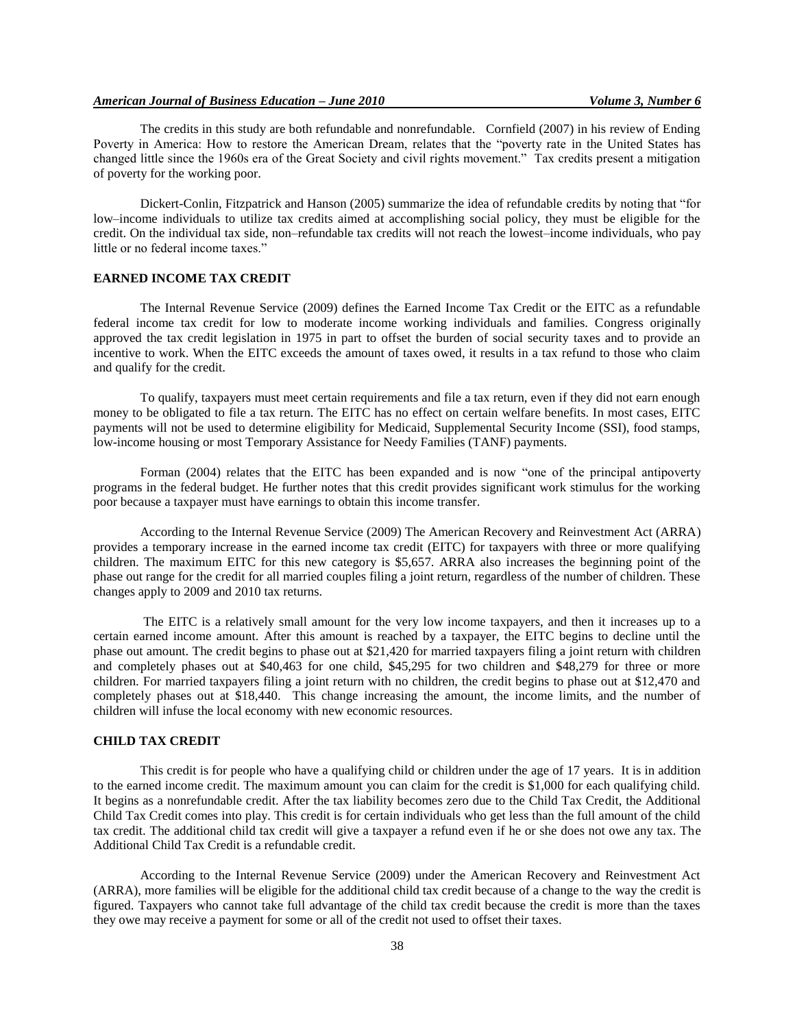# *American Journal of Business Education – June 2010 Volume 3, Number 6*

The credits in this study are both refundable and nonrefundable. Cornfield (2007) in his review of Ending Poverty in America: How to restore the American Dream, relates that the "poverty rate in the United States has changed little since the 1960s era of the Great Society and civil rights movement." Tax credits present a mitigation of poverty for the working poor.

Dickert-Conlin, Fitzpatrick and Hanson (2005) summarize the idea of refundable credits by noting that "for low–income individuals to utilize tax credits aimed at accomplishing social policy, they must be eligible for the credit. On the individual tax side, non–refundable tax credits will not reach the lowest–income individuals, who pay little or no federal income taxes."

# **EARNED INCOME TAX CREDIT**

The Internal Revenue Service (2009) defines the Earned Income Tax Credit or the EITC as a refundable federal income tax credit for low to moderate income working individuals and families. Congress originally approved the tax credit legislation in 1975 in part to offset the burden of social security taxes and to provide an incentive to work. When the EITC exceeds the amount of taxes owed, it results in a tax refund to those who claim and qualify for the credit.

To qualify, taxpayers must meet certain requirements and file a tax return, even if they did not earn enough money to be obligated to file a tax return. The EITC has no effect on certain welfare benefits. In most cases, EITC payments will not be used to determine eligibility for Medicaid, Supplemental Security Income (SSI), food stamps, low-income housing or most Temporary Assistance for Needy Families (TANF) payments.

Forman (2004) relates that the EITC has been expanded and is now "one of the principal antipoverty programs in the federal budget. He further notes that this credit provides significant work stimulus for the working poor because a taxpayer must have earnings to obtain this income transfer.

According to the Internal Revenue Service (2009) The American Recovery and Reinvestment Act (ARRA) provides a temporary increase in the earned income tax credit (EITC) for taxpayers with three or more qualifying children. The maximum EITC for this new category is \$5,657. ARRA also increases the beginning point of the phase out range for the credit for all married couples filing a joint return, regardless of the number of children. These changes apply to 2009 and 2010 tax returns.

The EITC is a relatively small amount for the very low income taxpayers, and then it increases up to a certain earned income amount. After this amount is reached by a taxpayer, the EITC begins to decline until the phase out amount. The credit begins to phase out at \$21,420 for married taxpayers filing a joint return with children and completely phases out at \$40,463 for one child, \$45,295 for two children and \$48,279 for three or more children. For married taxpayers filing a joint return with no children, the credit begins to phase out at \$12,470 and completely phases out at \$18,440. This change increasing the amount, the income limits, and the number of children will infuse the local economy with new economic resources.

#### **CHILD TAX CREDIT**

This credit is for people who have a qualifying child or children under the age of 17 years. It is in addition to the earned income credit. The maximum amount you can claim for the credit is \$1,000 for each qualifying child. It begins as a nonrefundable credit. After the tax liability becomes zero due to the Child Tax Credit, the Additional Child Tax Credit comes into play. This credit is for certain individuals who get less than the full amount of the child tax credit. The additional child tax credit will give a taxpayer a refund even if he or she does not owe any tax. The Additional Child Tax Credit is a refundable credit.

According to the Internal Revenue Service (2009) under the American Recovery and Reinvestment Act (ARRA), more families will be eligible for the additional child tax credit because of a change to the way the credit is figured. Taxpayers who cannot take full advantage of the child tax credit because the credit is more than the taxes they owe may receive a payment for some or all of the credit not used to offset their taxes.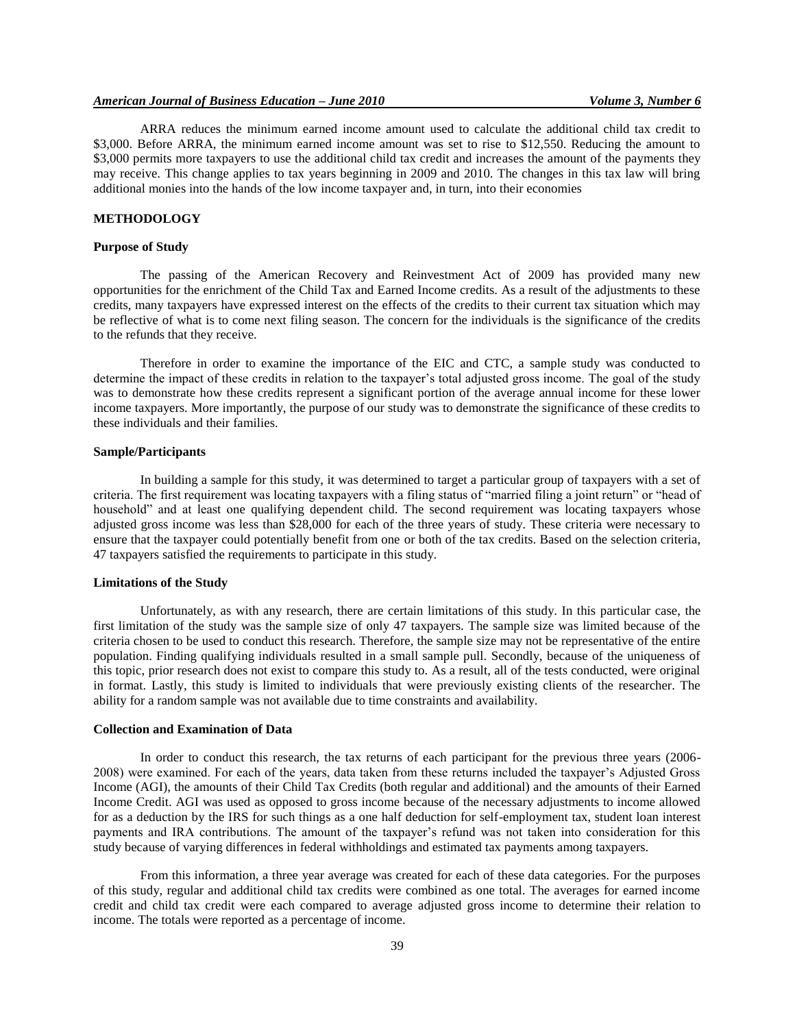# *American Journal of Business Education – June 2010 Volume 3, Number 6*

ARRA reduces the minimum earned income amount used to calculate the additional child tax credit to \$3,000. Before ARRA, the minimum earned income amount was set to rise to \$12,550. Reducing the amount to \$3,000 permits more taxpayers to use the additional child tax credit and increases the amount of the payments they may receive. This change applies to tax years beginning in 2009 and 2010. The changes in this tax law will bring additional monies into the hands of the low income taxpayer and, in turn, into their economies

#### **METHODOLOGY**

#### **Purpose of Study**

The passing of the American Recovery and Reinvestment Act of 2009 has provided many new opportunities for the enrichment of the Child Tax and Earned Income credits. As a result of the adjustments to these credits, many taxpayers have expressed interest on the effects of the credits to their current tax situation which may be reflective of what is to come next filing season. The concern for the individuals is the significance of the credits to the refunds that they receive.

Therefore in order to examine the importance of the EIC and CTC, a sample study was conducted to determine the impact of these credits in relation to the taxpayer's total adjusted gross income. The goal of the study was to demonstrate how these credits represent a significant portion of the average annual income for these lower income taxpayers. More importantly, the purpose of our study was to demonstrate the significance of these credits to these individuals and their families.

#### **Sample/Participants**

In building a sample for this study, it was determined to target a particular group of taxpayers with a set of criteria. The first requirement was locating taxpayers with a filing status of "married filing a joint return" or "head of household" and at least one qualifying dependent child. The second requirement was locating taxpayers whose adjusted gross income was less than \$28,000 for each of the three years of study. These criteria were necessary to ensure that the taxpayer could potentially benefit from one or both of the tax credits. Based on the selection criteria, 47 taxpayers satisfied the requirements to participate in this study.

#### **Limitations of the Study**

Unfortunately, as with any research, there are certain limitations of this study. In this particular case, the first limitation of the study was the sample size of only 47 taxpayers. The sample size was limited because of the criteria chosen to be used to conduct this research. Therefore, the sample size may not be representative of the entire population. Finding qualifying individuals resulted in a small sample pull. Secondly, because of the uniqueness of this topic, prior research does not exist to compare this study to. As a result, all of the tests conducted, were original in format. Lastly, this study is limited to individuals that were previously existing clients of the researcher. The ability for a random sample was not available due to time constraints and availability.

#### **Collection and Examination of Data**

In order to conduct this research, the tax returns of each participant for the previous three years (2006- 2008) were examined. For each of the years, data taken from these returns included the taxpayer's Adjusted Gross Income (AGI), the amounts of their Child Tax Credits (both regular and additional) and the amounts of their Earned Income Credit. AGI was used as opposed to gross income because of the necessary adjustments to income allowed for as a deduction by the IRS for such things as a one half deduction for self-employment tax, student loan interest payments and IRA contributions. The amount of the taxpayer's refund was not taken into consideration for this study because of varying differences in federal withholdings and estimated tax payments among taxpayers.

From this information, a three year average was created for each of these data categories. For the purposes of this study, regular and additional child tax credits were combined as one total. The averages for earned income credit and child tax credit were each compared to average adjusted gross income to determine their relation to income. The totals were reported as a percentage of income.